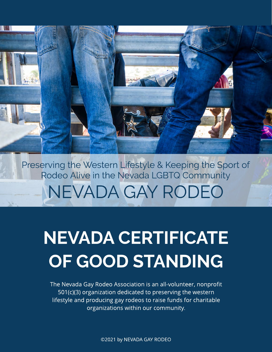NEVADA GAY RODEO Preserving the Western Lifestyle & Keeping the Sport of Rodeo Alive in the Nevada LGBTQ Community

## NEVADA CERTIFICATE OF GOOD STANDING

The Nevada Gay Rodeo Association is an all-volunteer, nonprofit 501(c)(3) organization dedicated to preserving the western lifestyle and producing gay rodeos to raise funds for charitable organizations within our community.

©2021 by NEVADA GAY RODEO